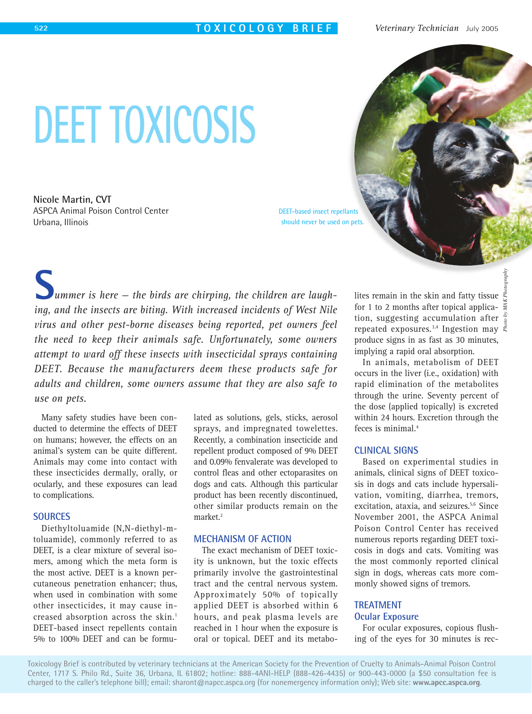# **DEET TOXICOSIS**

**Nicole Martin, CVT**  ASPCA Animal Poison Control Center Urbana, Illinois

DEET-based insect repellants should never be used on pets.

*ummer is here — the birds are chirping, the children are laughing, and the insects are biting. With increased incidents of West Nile virus and other pest-borne diseases being reported, pet owners feel the need to keep their animals safe. Unfortunately, some owners attempt to ward off these insects with insecticidal sprays containing DEET. Because the manufacturers deem these products safe for adults and children, some owners assume that they are also safe to use on pets.* **S**

Many safety studies have been conducted to determine the effects of DEET on humans; however, the effects on an animal's system can be quite different. Animals may come into contact with these insecticides dermally, orally, or ocularly, and these exposures can lead to complications.

# **SOURCES**

Diethyltoluamide (N,N-diethyl-mtoluamide), commonly referred to as DEET, is a clear mixture of several isomers, among which the meta form is the most active. DEET is a known percutaneous penetration enhancer; thus, when used in combination with some other insecticides, it may cause increased absorption across the skin.<sup>1</sup> DEET-based insect repellents contain 5% to 100% DEET and can be formulated as solutions, gels, sticks, aerosol sprays, and impregnated towelettes. Recently, a combination insecticide and repellent product composed of 9% DEET and 0.09% fenvalerate was developed to control fleas and other ectoparasites on dogs and cats. Although this particular product has been recently discontinued, other similar products remain on the market.<sup>2</sup>

## **MECHANISM OF ACTION**

The exact mechanism of DEET toxicity is unknown, but the toxic effects primarily involve the gastrointestinal tract and the central nervous system. Approximately 50% of topically applied DEET is absorbed within 6 hours, and peak plasma levels are reached in 1 hour when the exposure is oral or topical. DEET and its metabo-

lites remain in the skin and fatty tissue for 1 to 2 months after topical application, suggesting accumulation after repeated exposures.<sup>3,4</sup> Ingestion may  $\frac{3}{5}$ produce signs in as fast as 30 minutes, implying a rapid oral absorption.

In animals, metabolism of DEET occurs in the liver (i.e., oxidation) with rapid elimination of the metabolites through the urine. Seventy percent of the dose (applied topically) is excreted within 24 hours. Excretion through the feces is minimal.4

## **CLINICAL SIGNS**

Based on experimental studies in animals, clinical signs of DEET toxicosis in dogs and cats include hypersalivation, vomiting, diarrhea, tremors, excitation, ataxia, and seizures.<sup>5,6</sup> Since November 2001, the ASPCA Animal Poison Control Center has received numerous reports regarding DEET toxicosis in dogs and cats. Vomiting was the most commonly reported clinical sign in dogs, whereas cats more commonly showed signs of tremors.

# **TREATMENT Ocular Exposure**

For ocular exposures, copious flushing of the eyes for 30 minutes is rec-

Toxicology Brief is contributed by veterinary technicians at the American Society for the Prevention of Cruelty to Animals–Animal Poison Control Center, 1717 S. Philo Rd., Suite 36, Urbana, IL 61802; hotline: 888-4ANI-HELP (888-426-4435) or 900-443-0000 (a \$50 consultation fee is charged to the caller's telephone bill); email: sharont@napcc.aspca.org (for nonemergency information only); Web site: **www.apcc.aspca.org**.